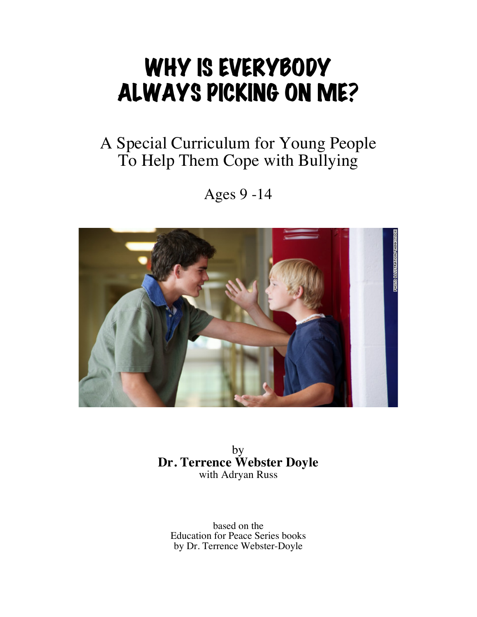# WHY IS EVERYBODY ALWAYS PICKING ON ME?

### A Special Curriculum for Young People To Help Them Cope with Bullying

Ages 9 -14



by **Dr. Terrence Webster Doyle** with Adryan Russ

based on the Education for Peace Series books by Dr. Terrence Webster-Doyle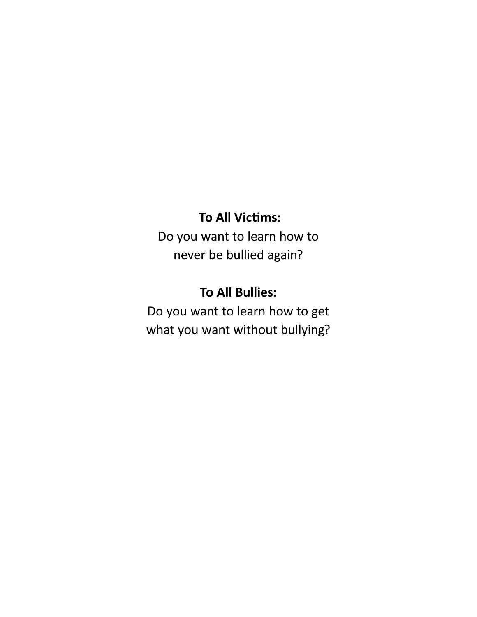#### **To All Victims:**

Do you want to learn how to never be bullied again?

#### **To All Bullies:**

Do you want to learn how to get what you want without bullying?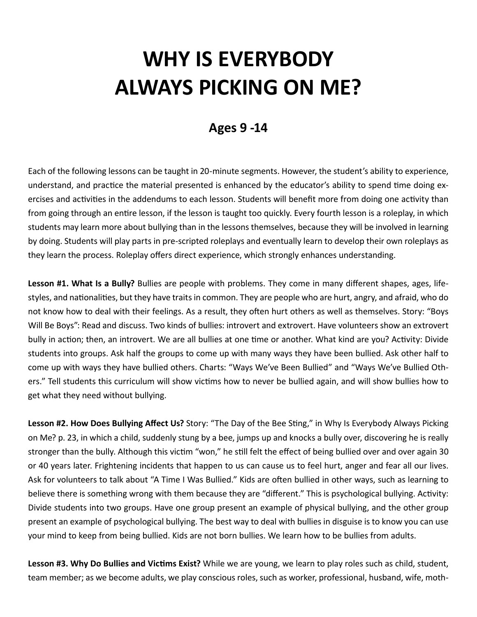## **WHY IS EVERYBODY ALWAYS PICKING ON ME?**

#### **Ages 9 -14**

Each of the following lessons can be taught in 20-minute segments. However, the student's ability to experience, understand, and practice the material presented is enhanced by the educator's ability to spend time doing exercises and activities in the addendums to each lesson. Students will benefit more from doing one activity than from going through an entire lesson, if the lesson is taught too quickly. Every fourth lesson is a roleplay, in which students may learn more about bullying than in the lessons themselves, because they will be involved in learning by doing. Students will play parts in pre-scripted roleplays and eventually learn to develop their own roleplays as they learn the process. Roleplay offers direct experience, which strongly enhances understanding.

**Lesson #1. What Is a Bully?** Bullies are people with problems. They come in many different shapes, ages, lifestyles, and nationalities, but they have traits in common. They are people who are hurt, angry, and afraid, who do not know how to deal with their feelings. As a result, they often hurt others as well as themselves. Story: "Boys Will Be Boys": Read and discuss. Two kinds of bullies: introvert and extrovert. Have volunteers show an extrovert bully in action; then, an introvert. We are all bullies at one time or another. What kind are you? Activity: Divide students into groups. Ask half the groups to come up with many ways they have been bullied. Ask other half to come up with ways they have bullied others. Charts: "Ways We've Been Bullied" and "Ways We've Bullied Others." Tell students this curriculum will show victims how to never be bullied again, and will show bullies how to get what they need without bullying.

**Lesson #2. How Does Bullying Affect Us?** Story: "The Day of the Bee Sting," in Why Is Everybody Always Picking on Me? p. 23, in which a child, suddenly stung by a bee, jumps up and knocks a bully over, discovering he is really stronger than the bully. Although this victim "won," he still felt the effect of being bullied over and over again 30 or 40 years later. Frightening incidents that happen to us can cause us to feel hurt, anger and fear all our lives. Ask for volunteers to talk about "A Time I Was Bullied." Kids are often bullied in other ways, such as learning to believe there is something wrong with them because they are "different." This is psychological bullying. Activity: Divide students into two groups. Have one group present an example of physical bullying, and the other group present an example of psychological bullying. The best way to deal with bullies in disguise is to know you can use your mind to keep from being bullied. Kids are not born bullies. We learn how to be bullies from adults.

**Lesson #3. Why Do Bullies and Victims Exist?** While we are young, we learn to play roles such as child, student, team member; as we become adults, we play conscious roles, such as worker, professional, husband, wife, moth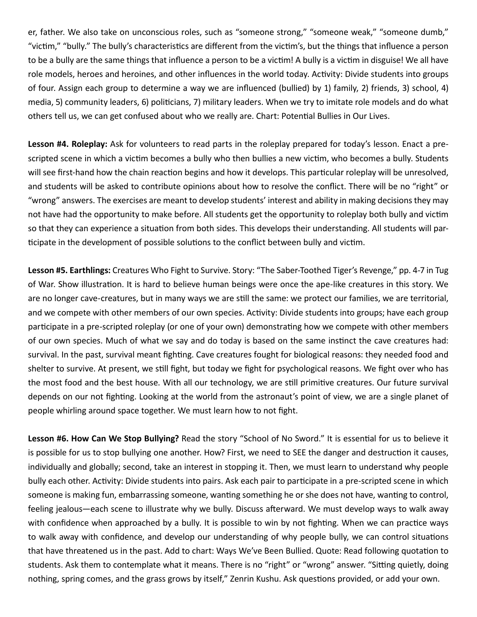er, father. We also take on unconscious roles, such as "someone strong," "someone weak," "someone dumb," "victim," "bully." The bully's characteristics are different from the victim's, but the things that influence a person to be a bully are the same things that influence a person to be a victim! A bully is a victim in disguise! We all have role models, heroes and heroines, and other influences in the world today. Activity: Divide students into groups of four. Assign each group to determine a way we are influenced (bullied) by 1) family, 2) friends, 3) school, 4) media, 5) community leaders, 6) politicians, 7) military leaders. When we try to imitate role models and do what others tell us, we can get confused about who we really are. Chart: Potential Bullies in Our Lives.

**Lesson #4. Roleplay:** Ask for volunteers to read parts in the roleplay prepared for today's lesson. Enact a prescripted scene in which a victim becomes a bully who then bullies a new victim, who becomes a bully. Students will see first-hand how the chain reaction begins and how it develops. This particular roleplay will be unresolved, and students will be asked to contribute opinions about how to resolve the conflict. There will be no "right" or "wrong" answers. The exercises are meant to develop students' interest and ability in making decisions they may not have had the opportunity to make before. All students get the opportunity to roleplay both bully and victim so that they can experience a situation from both sides. This develops their understanding. All students will participate in the development of possible solutions to the conflict between bully and victim.

**Lesson #5. Earthlings:** Creatures Who Fight to Survive. Story: "The Saber-Toothed Tiger's Revenge," pp. 4-7 in Tug of War. Show illustration. It is hard to believe human beings were once the ape-like creatures in this story. We are no longer cave-creatures, but in many ways we are still the same: we protect our families, we are territorial, and we compete with other members of our own species. Activity: Divide students into groups; have each group participate in a pre-scripted roleplay (or one of your own) demonstrating how we compete with other members of our own species. Much of what we say and do today is based on the same instinct the cave creatures had: survival. In the past, survival meant fighting. Cave creatures fought for biological reasons: they needed food and shelter to survive. At present, we still fight, but today we fight for psychological reasons. We fight over who has the most food and the best house. With all our technology, we are still primitive creatures. Our future survival depends on our not fighting. Looking at the world from the astronaut's point of view, we are a single planet of people whirling around space together. We must learn how to not fight.

**Lesson #6. How Can We Stop Bullying?** Read the story "School of No Sword." It is essential for us to believe it is possible for us to stop bullying one another. How? First, we need to SEE the danger and destruction it causes, individually and globally; second, take an interest in stopping it. Then, we must learn to understand why people bully each other. Activity: Divide students into pairs. Ask each pair to participate in a pre-scripted scene in which someone is making fun, embarrassing someone, wanting something he or she does not have, wanting to control, feeling jealous—each scene to illustrate why we bully. Discuss afterward. We must develop ways to walk away with confidence when approached by a bully. It is possible to win by not fighting. When we can practice ways to walk away with confidence, and develop our understanding of why people bully, we can control situations that have threatened us in the past. Add to chart: Ways We've Been Bullied. Quote: Read following quotation to students. Ask them to contemplate what it means. There is no "right" or "wrong" answer. "Sitting quietly, doing nothing, spring comes, and the grass grows by itself," Zenrin Kushu. Ask questions provided, or add your own.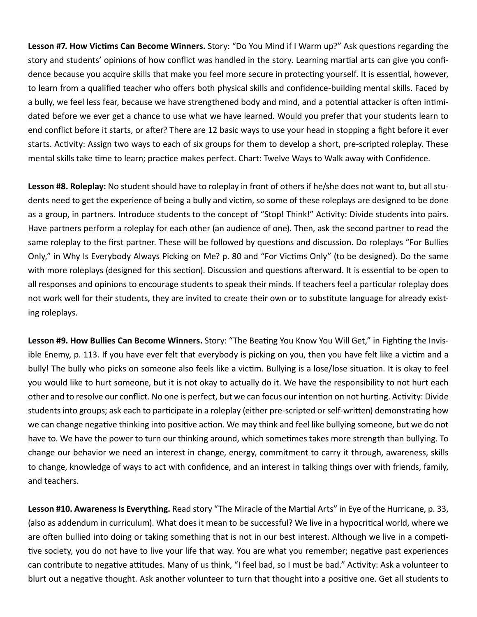**Lesson #7. How Victims Can Become Winners.** Story: "Do You Mind if I Warm up?" Ask questions regarding the story and students' opinions of how conflict was handled in the story. Learning martial arts can give you confidence because you acquire skills that make you feel more secure in protecting yourself. It is essential, however, to learn from a qualified teacher who offers both physical skills and confidence-building mental skills. Faced by a bully, we feel less fear, because we have strengthened body and mind, and a potential attacker is often intimidated before we ever get a chance to use what we have learned. Would you prefer that your students learn to end conflict before it starts, or after? There are 12 basic ways to use your head in stopping a fight before it ever starts. Activity: Assign two ways to each of six groups for them to develop a short, pre-scripted roleplay. These mental skills take time to learn; practice makes perfect. Chart: Twelve Ways to Walk away with Confidence.

**Lesson #8. Roleplay:** No student should have to roleplay in front of others if he/she does not want to, but all students need to get the experience of being a bully and victim, so some of these roleplays are designed to be done as a group, in partners. Introduce students to the concept of "Stop! Think!" Activity: Divide students into pairs. Have partners perform a roleplay for each other (an audience of one). Then, ask the second partner to read the same roleplay to the first partner. These will be followed by questions and discussion. Do roleplays "For Bullies Only," in Why Is Everybody Always Picking on Me? p. 80 and "For Victims Only" (to be designed). Do the same with more roleplays (designed for this section). Discussion and questions afterward. It is essential to be open to all responses and opinions to encourage students to speak their minds. If teachers feel a particular roleplay does not work well for their students, they are invited to create their own or to substitute language for already existing roleplays.

**Lesson #9. How Bullies Can Become Winners.** Story: "The Beating You Know You Will Get," in Fighting the Invisible Enemy, p. 113. If you have ever felt that everybody is picking on you, then you have felt like a victim and a bully! The bully who picks on someone also feels like a victim. Bullying is a lose/lose situation. It is okay to feel you would like to hurt someone, but it is not okay to actually do it. We have the responsibility to not hurt each other and to resolve our conflict. No one is perfect, but we can focus our intention on not hurting. Activity: Divide students into groups; ask each to participate in a roleplay (either pre-scripted or self-written) demonstrating how we can change negative thinking into positive action. We may think and feel like bullying someone, but we do not have to. We have the power to turn our thinking around, which sometimes takes more strength than bullying. To change our behavior we need an interest in change, energy, commitment to carry it through, awareness, skills to change, knowledge of ways to act with confidence, and an interest in talking things over with friends, family, and teachers.

**Lesson #10. Awareness Is Everything.** Read story "The Miracle of the Martial Arts" in Eye of the Hurricane, p. 33, (also as addendum in curriculum). What does it mean to be successful? We live in a hypocritical world, where we are often bullied into doing or taking something that is not in our best interest. Although we live in a competitive society, you do not have to live your life that way. You are what you remember; negative past experiences can contribute to negative attitudes. Many of us think, "I feel bad, so I must be bad." Activity: Ask a volunteer to blurt out a negative thought. Ask another volunteer to turn that thought into a positive one. Get all students to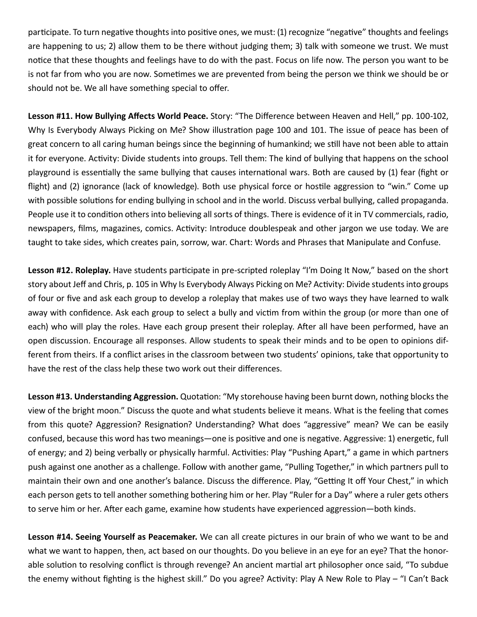participate. To turn negative thoughts into positive ones, we must: (1) recognize "negative" thoughts and feelings are happening to us; 2) allow them to be there without judging them; 3) talk with someone we trust. We must notice that these thoughts and feelings have to do with the past. Focus on life now. The person you want to be is not far from who you are now. Sometimes we are prevented from being the person we think we should be or should not be. We all have something special to offer.

**Lesson #11. How Bullying Affects World Peace.** Story: "The Difference between Heaven and Hell," pp. 100-102, Why Is Everybody Always Picking on Me? Show illustration page 100 and 101. The issue of peace has been of great concern to all caring human beings since the beginning of humankind; we still have not been able to attain it for everyone. Activity: Divide students into groups. Tell them: The kind of bullying that happens on the school playground is essentially the same bullying that causes international wars. Both are caused by (1) fear (fight or flight) and (2) ignorance (lack of knowledge). Both use physical force or hostile aggression to "win." Come up with possible solutions for ending bullying in school and in the world. Discuss verbal bullying, called propaganda. People use it to condition others into believing all sorts of things. There is evidence of it in TV commercials, radio, newspapers, films, magazines, comics. Activity: Introduce doublespeak and other jargon we use today. We are taught to take sides, which creates pain, sorrow, war. Chart: Words and Phrases that Manipulate and Confuse.

**Lesson #12. Roleplay.** Have students participate in pre-scripted roleplay "I'm Doing It Now," based on the short story about Jeff and Chris, p. 105 in Why Is Everybody Always Picking on Me? Activity: Divide students into groups of four or five and ask each group to develop a roleplay that makes use of two ways they have learned to walk away with confidence. Ask each group to select a bully and victim from within the group (or more than one of each) who will play the roles. Have each group present their roleplay. After all have been performed, have an open discussion. Encourage all responses. Allow students to speak their minds and to be open to opinions different from theirs. If a conflict arises in the classroom between two students' opinions, take that opportunity to have the rest of the class help these two work out their differences.

**Lesson #13. Understanding Aggression.** Quotation: "My storehouse having been burnt down, nothing blocks the view of the bright moon." Discuss the quote and what students believe it means. What is the feeling that comes from this quote? Aggression? Resignation? Understanding? What does "aggressive" mean? We can be easily confused, because this word has two meanings—one is positive and one is negative. Aggressive: 1) energetic, full of energy; and 2) being verbally or physically harmful. Activities: Play "Pushing Apart," a game in which partners push against one another as a challenge. Follow with another game, "Pulling Together," in which partners pull to maintain their own and one another's balance. Discuss the difference. Play, "Getting It off Your Chest," in which each person gets to tell another something bothering him or her. Play "Ruler for a Day" where a ruler gets others to serve him or her. After each game, examine how students have experienced aggression—both kinds.

**Lesson #14. Seeing Yourself as Peacemaker.** We can all create pictures in our brain of who we want to be and what we want to happen, then, act based on our thoughts. Do you believe in an eye for an eye? That the honorable solution to resolving conflict is through revenge? An ancient martial art philosopher once said, "To subdue the enemy without fighting is the highest skill." Do you agree? Activity: Play A New Role to Play – "I Can't Back